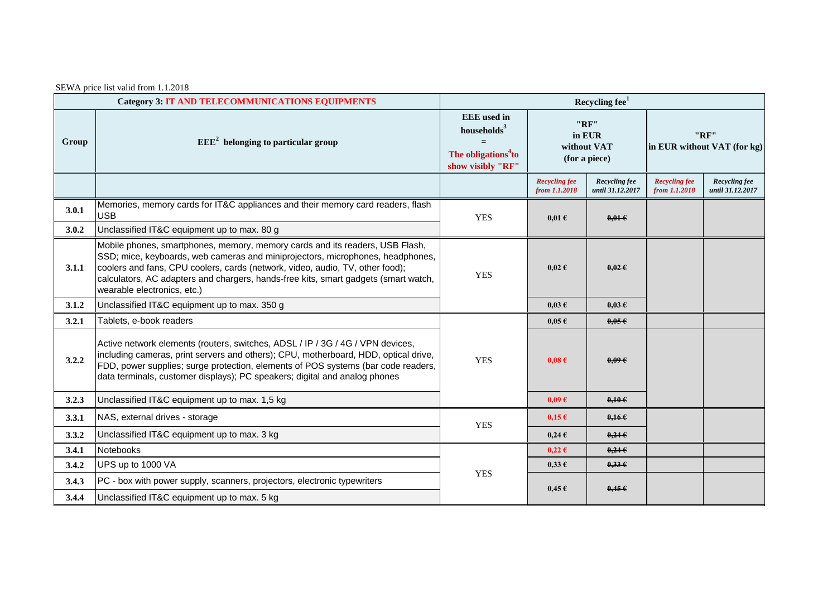| SEWA price list valid from 1.1.2018 |  |  |  |  |
|-------------------------------------|--|--|--|--|
|-------------------------------------|--|--|--|--|

|       | <b>Category 3: IT AND TELECOMMUNICATIONS EQUIPMENTS</b>                                                                                                                                                                                                                                                                                                               | Recycling fee <sup>1</sup>                                                                                   |                                                |                                   |                                       |                                   |
|-------|-----------------------------------------------------------------------------------------------------------------------------------------------------------------------------------------------------------------------------------------------------------------------------------------------------------------------------------------------------------------------|--------------------------------------------------------------------------------------------------------------|------------------------------------------------|-----------------------------------|---------------------------------------|-----------------------------------|
| Group | $EEE2$ belonging to particular group                                                                                                                                                                                                                                                                                                                                  | <b>EEE</b> used in<br>households <sup>3</sup><br>$=$<br>The obligations <sup>4</sup> to<br>show visibly "RF" | "RF"<br>in EUR<br>without VAT<br>(for a piece) |                                   | "RF"<br>in EUR without VAT (for kg)   |                                   |
|       |                                                                                                                                                                                                                                                                                                                                                                       |                                                                                                              | <b>Recycling fee</b><br>from 1.1.2018          | Recycling fee<br>until 31.12.2017 | <b>Recycling fee</b><br>from 1.1.2018 | Recycling fee<br>until 31.12.2017 |
| 3.0.1 | Memories, memory cards for IT&C appliances and their memory card readers, flash<br><b>USB</b>                                                                                                                                                                                                                                                                         | <b>YES</b>                                                                                                   | $0,01 \in$                                     | $0,01 \in$                        |                                       |                                   |
| 3.0.2 | Unclassified IT&C equipment up to max. 80 g                                                                                                                                                                                                                                                                                                                           |                                                                                                              |                                                |                                   |                                       |                                   |
| 3.1.1 | Mobile phones, smartphones, memory, memory cards and its readers, USB Flash,<br>SSD; mice, keyboards, web cameras and miniprojectors, microphones, headphones,<br>coolers and fans, CPU coolers, cards (network, video, audio, TV, other food);<br>calculators, AC adapters and chargers, hands-free kits, smart gadgets (smart watch,<br>wearable electronics, etc.) | <b>YES</b>                                                                                                   | $0.02 \text{ }\epsilon$                        | $0,02 \in$                        |                                       |                                   |
| 3.1.2 | Unclassified IT&C equipment up to max. 350 g                                                                                                                                                                                                                                                                                                                          |                                                                                                              | $0,03 \in$                                     | $0.03 \epsilon$                   |                                       |                                   |
| 3.2.1 | Tablets, e-book readers                                                                                                                                                                                                                                                                                                                                               |                                                                                                              | $0,05 \in$                                     | 0.05E                             |                                       |                                   |
| 3.2.2 | Active network elements (routers, switches, ADSL / IP / 3G / 4G / VPN devices,<br>including cameras, print servers and others); CPU, motherboard, HDD, optical drive,<br>FDD, power supplies; surge protection, elements of POS systems (bar code readers,<br>data terminals, customer displays); PC speakers; digital and analog phones                              | <b>YES</b>                                                                                                   | $0.08 \text{ } \in$                            | $0.09 \in$                        |                                       |                                   |
| 3.2.3 | Unclassified IT&C equipment up to max. 1,5 kg                                                                                                                                                                                                                                                                                                                         |                                                                                                              | 0.09E                                          | $0,10 \in$                        |                                       |                                   |
| 3.3.1 | NAS, external drives - storage                                                                                                                                                                                                                                                                                                                                        | <b>YES</b>                                                                                                   | $0.15 \in$                                     | $0.16 \in$                        |                                       |                                   |
| 3.3.2 | Unclassified IT&C equipment up to max. 3 kg                                                                                                                                                                                                                                                                                                                           |                                                                                                              | $0,24 \in$                                     | $0,24 \in$                        |                                       |                                   |
| 3.4.1 | <b>Notebooks</b>                                                                                                                                                                                                                                                                                                                                                      |                                                                                                              | $0,22 \in$                                     | 0,246                             |                                       |                                   |
| 3.4.2 | UPS up to 1000 VA                                                                                                                                                                                                                                                                                                                                                     |                                                                                                              | $0,33 \in$                                     | 0,336                             |                                       |                                   |
| 3.4.3 | PC - box with power supply, scanners, projectors, electronic typewriters                                                                                                                                                                                                                                                                                              | <b>YES</b>                                                                                                   | $0,45 \in$                                     | $0,45 \in$                        |                                       |                                   |
| 3.4.4 | Unclassified IT&C equipment up to max. 5 kg                                                                                                                                                                                                                                                                                                                           |                                                                                                              |                                                |                                   |                                       |                                   |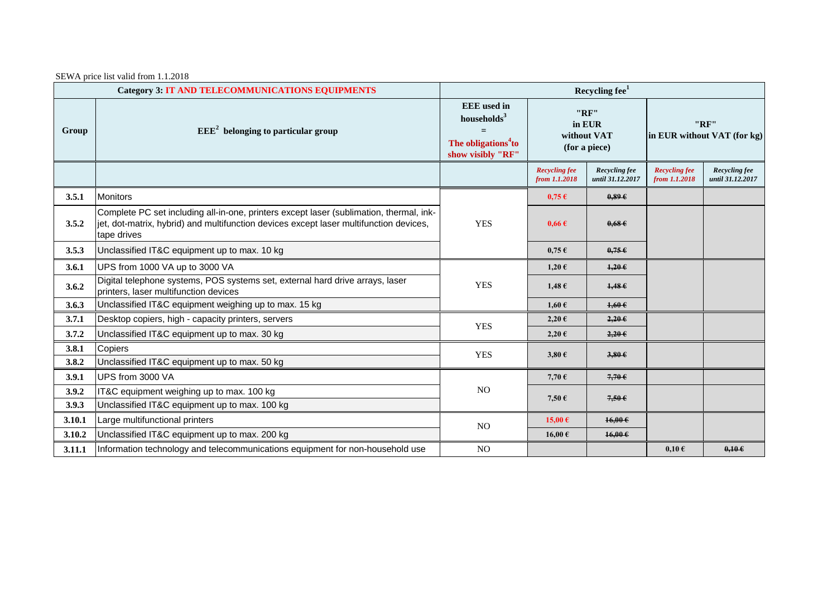SEWA price list valid from 1.1.2018

|        | <b>Category 3: IT AND TELECOMMUNICATIONS EQUIPMENTS</b>                                                                                                                                          | Recycling fee <sup>1</sup>                                                                            |                                                |                                   |                                       |                                   |
|--------|--------------------------------------------------------------------------------------------------------------------------------------------------------------------------------------------------|-------------------------------------------------------------------------------------------------------|------------------------------------------------|-----------------------------------|---------------------------------------|-----------------------------------|
| Group  | $EEE2$ belonging to particular group                                                                                                                                                             | <b>EEE</b> used in<br>households <sup>3</sup><br>The obligations <sup>4</sup> to<br>show visibly "RF" | "RF"<br>in EUR<br>without VAT<br>(for a piece) |                                   | "RF"<br>in EUR without VAT (for kg)   |                                   |
|        |                                                                                                                                                                                                  |                                                                                                       | <b>Recycling fee</b><br>from 1.1.2018          | Recycling fee<br>until 31.12.2017 | <b>Recycling fee</b><br>from 1.1.2018 | Recycling fee<br>until 31.12.2017 |
| 3.5.1  | <b>Monitors</b>                                                                                                                                                                                  |                                                                                                       | $0,75 \in$                                     | 0.89E                             |                                       |                                   |
| 3.5.2  | Complete PC set including all-in-one, printers except laser (sublimation, thermal, ink-<br>jet, dot-matrix, hybrid) and multifunction devices except laser multifunction devices,<br>tape drives | <b>YES</b>                                                                                            | $0.66 \text{ } \in$                            | 0.68E                             |                                       |                                   |
| 3.5.3  | Unclassified IT&C equipment up to max. 10 kg                                                                                                                                                     |                                                                                                       | $0,75 \in$                                     | $0,75 \in$                        |                                       |                                   |
| 3.6.1  | UPS from 1000 VA up to 3000 VA                                                                                                                                                                   |                                                                                                       | $1,20 \in$                                     | $1,20$ $\in$                      |                                       |                                   |
| 3.6.2  | Digital telephone systems, POS systems set, external hard drive arrays, laser<br>printers, laser multifunction devices                                                                           | <b>YES</b>                                                                                            | $1,48 \in$                                     | 1,486                             |                                       |                                   |
| 3.6.3  | Unclassified IT&C equipment weighing up to max. 15 kg                                                                                                                                            |                                                                                                       | $1,60 \in$                                     | $1,60 \in$                        |                                       |                                   |
| 3.7.1  | Desktop copiers, high - capacity printers, servers                                                                                                                                               |                                                                                                       | $2,20 \in$                                     | $2,20$ $\epsilon$                 |                                       |                                   |
| 3.7.2  | Unclassified IT&C equipment up to max. 30 kg                                                                                                                                                     | <b>YES</b>                                                                                            | $2,20 \in$                                     | $2,20$ $\in$                      |                                       |                                   |
| 3.8.1  | Copiers                                                                                                                                                                                          | <b>YES</b>                                                                                            | $3,80 \in$                                     | $3,80 \in$                        |                                       |                                   |
| 3.8.2  | Unclassified IT&C equipment up to max. 50 kg                                                                                                                                                     |                                                                                                       |                                                |                                   |                                       |                                   |
| 3.9.1  | UPS from 3000 VA                                                                                                                                                                                 | NO                                                                                                    | 7,70 $\epsilon$                                | $7,70$ $\epsilon$                 |                                       |                                   |
| 3.9.2  | IT&C equipment weighing up to max. 100 kg                                                                                                                                                        |                                                                                                       | 7,50 $\epsilon$                                | $7,50$ $\in$                      |                                       |                                   |
| 3.9.3  | Unclassified IT&C equipment up to max. 100 kg                                                                                                                                                    |                                                                                                       |                                                |                                   |                                       |                                   |
| 3.10.1 | Large multifunctional printers                                                                                                                                                                   | NO                                                                                                    | 15,00 $\epsilon$                               | $16,00 \in$                       |                                       |                                   |
| 3.10.2 | Unclassified IT&C equipment up to max. 200 kg                                                                                                                                                    |                                                                                                       | 16,00€                                         | $16,00 \in$                       |                                       |                                   |
| 3.11.1 | Information technology and telecommunications equipment for non-household use                                                                                                                    | NO                                                                                                    |                                                |                                   | $0,10 \in$                            | $0,10 \in$                        |